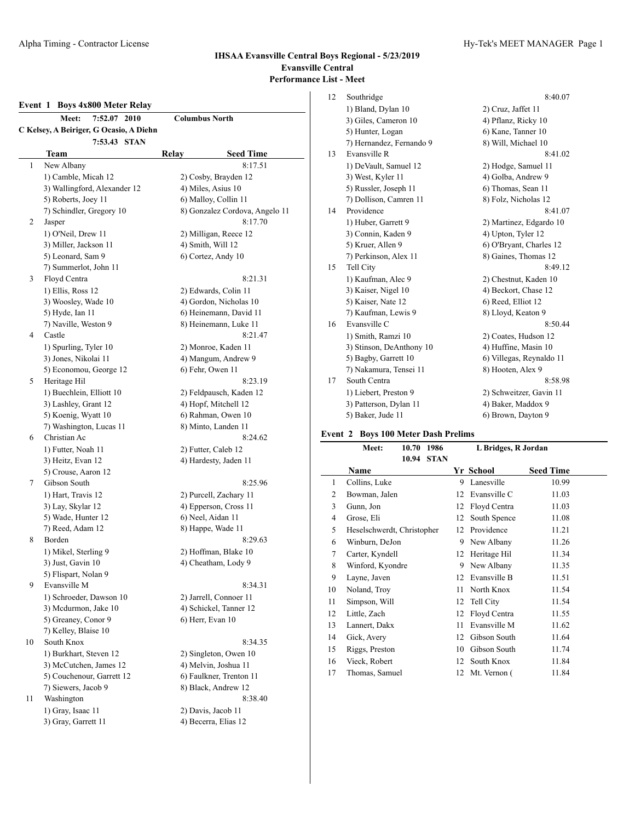# **Event 1 Boys 4x800 Meter Relay**

|                                         | <b>Meet:</b><br>7:52.07<br>2010 | <b>Columbus North</b>          |  |  |
|-----------------------------------------|---------------------------------|--------------------------------|--|--|
| C Kelsey, A Beiriger, G Ocasio, A Diehn |                                 |                                |  |  |
|                                         | 7:53.43 STAN                    |                                |  |  |
|                                         | Team                            | <b>Seed Time</b><br>Relay      |  |  |
| 1                                       | New Albany                      | 8:17.51                        |  |  |
|                                         | 1) Camble, Micah 12             | 2) Cosby, Brayden 12           |  |  |
|                                         | 3) Wallingford, Alexander 12    | 4) Miles, Asius 10             |  |  |
|                                         | 5) Roberts, Joey 11             | 6) Malloy, Collin 11           |  |  |
|                                         | 7) Schindler, Gregory 10        | 8) Gonzalez Cordova, Angelo 11 |  |  |
| 2                                       | Jasper                          | 8:17.70                        |  |  |
|                                         | 1) O'Neil, Drew 11              | 2) Milligan, Reece 12          |  |  |
|                                         | 3) Miller, Jackson 11           | 4) Smith, Will 12              |  |  |
|                                         | 5) Leonard, Sam 9               | 6) Cortez, Andy 10             |  |  |
|                                         | 7) Summerlot, John 11           |                                |  |  |
| 3                                       | Floyd Centra                    | 8:21.31                        |  |  |
|                                         | 1) Ellis, Ross 12               | 2) Edwards, Colin 11           |  |  |
|                                         | 3) Woosley, Wade 10             | 4) Gordon, Nicholas 10         |  |  |
|                                         | 5) Hyde, Ian 11                 | 6) Heinemann, David 11         |  |  |
|                                         | 7) Naville, Weston 9            | 8) Heinemann, Luke 11          |  |  |
| 4                                       | Castle                          | 8:21.47                        |  |  |
|                                         | 1) Spurling, Tyler 10           | 2) Monroe, Kaden 11            |  |  |
|                                         | 3) Jones, Nikolai 11            | 4) Mangum, Andrew 9            |  |  |
|                                         | 5) Economou, George 12          | 6) Fehr, Owen 11               |  |  |
| 5                                       | Heritage Hil                    | 8:23.19                        |  |  |
|                                         | 1) Buechlein, Elliott 10        | 2) Feldpausch, Kaden 12        |  |  |
|                                         | 3) Lashley, Grant 12            | 4) Hopf, Mitchell 12           |  |  |
|                                         | 5) Koenig, Wyatt 10             | 6) Rahman, Owen 10             |  |  |
|                                         | 7) Washington, Lucas 11         | 8) Minto, Landen 11            |  |  |
| 6                                       | Christian Ac                    | 8:24.62                        |  |  |
|                                         | 1) Futter, Noah 11              | 2) Futter, Caleb 12            |  |  |
|                                         | 3) Heitz, Evan 12               | 4) Hardesty, Jaden 11          |  |  |
|                                         | 5) Crouse, Aaron 12             |                                |  |  |
| 7                                       | Gibson South                    | 8:25.96                        |  |  |
|                                         | 1) Hart, Travis 12              | 2) Purcell, Zachary 11         |  |  |
|                                         | 3) Lay, Skylar 12               | 4) Epperson, Cross 11          |  |  |
|                                         | 5) Wade, Hunter 12              | 6) Neel, Aidan 11              |  |  |
|                                         | 7) Reed, Adam 12                | 8) Happe, Wade 11              |  |  |
| 8                                       | Borden                          | 8:29.63                        |  |  |
|                                         | 1) Mikel, Sterling 9            | 2) Hoffman, Blake 10           |  |  |
|                                         | 3) Just, Gavin 10               | 4) Cheatham, Lody 9            |  |  |
|                                         | 5) Flispart, Nolan 9            |                                |  |  |
| 9                                       | Evansville M                    | 8:34.31                        |  |  |
|                                         | 1) Schroeder, Dawson 10         | 2) Jarrell, Connoer 11         |  |  |
|                                         | 3) Mcdurmon, Jake 10            | 4) Schickel, Tanner 12         |  |  |
|                                         | 5) Greaney, Conor 9             | 6) Herr, Evan 10               |  |  |
|                                         | 7) Kelley, Blaise 10            |                                |  |  |
| 10                                      | South Knox                      | 8:34.35                        |  |  |
|                                         | 1) Burkhart, Steven 12          | 2) Singleton, Owen 10          |  |  |
|                                         | 3) McCutchen, James 12          | 4) Melvin, Joshua 11           |  |  |
|                                         | 5) Couchenour, Garrett 12       | 6) Faulkner, Trenton 11        |  |  |
|                                         | 7) Siewers, Jacob 9             | 8) Black, Andrew 12            |  |  |
| 11                                      | Washington                      | 8:38.40                        |  |  |
|                                         | 1) Gray, Isaac 11               | 2) Davis, Jacob 11             |  |  |
|                                         | 3) Gray, Garrett 11             | 4) Becerra, Elias 12           |  |  |

| 12 | Southridge               | 8:40.07                  |
|----|--------------------------|--------------------------|
|    | 1) Bland, Dylan 10       | 2) Cruz, Jaffet 11       |
|    | 3) Giles, Cameron 10     | 4) Pflanz, Ricky 10      |
|    | 5) Hunter, Logan         | 6) Kane, Tanner 10       |
|    | 7) Hernandez, Fernando 9 | 8) Will, Michael 10      |
| 13 | Evansville R             | 8:41.02                  |
|    | 1) DeVault, Samuel 12    | 2) Hodge, Samuel 11      |
|    | 3) West, Kyler 11        | 4) Golba, Andrew 9       |
|    | 5) Russler, Joseph 11    | 6) Thomas, Sean 11       |
|    | 7) Dollison, Camren 11   | 8) Folz, Nicholas 12     |
| 14 | Providence               | 8:41.07                  |
|    | 1) Huber, Garrett 9      | 2) Martinez, Edgardo 10  |
|    | 3) Connin, Kaden 9       | 4) Upton, Tyler 12       |
|    | 5) Kruer, Allen 9        | 6) O'Bryant, Charles 12  |
|    | 7) Perkinson, Alex 11    | 8) Gaines, Thomas 12     |
| 15 | Tell City                | 8:49.12                  |
|    | 1) Kaufman, Alec 9       | 2) Chestnut, Kaden 10    |
|    | 3) Kaiser, Nigel 10      | 4) Beckort, Chase 12     |
|    | 5) Kaiser, Nate 12       | 6) Reed, Elliot 12       |
|    | 7) Kaufman, Lewis 9      | 8) Lloyd, Keaton 9       |
| 16 | Evansville C             | 8:50.44                  |
|    | 1) Smith, Ramzi 10       | 2) Coates, Hudson 12     |
|    | 3) Stinson, DeAnthony 10 | 4) Huffine, Masin 10     |
|    | 5) Bagby, Garrett 10     | 6) Villegas, Reynaldo 11 |
|    | 7) Nakamura, Tensei 11   | 8) Hooten, Alex 9        |
| 17 | South Centra             | 8:58.98                  |
|    | 1) Liebert, Preston 9    | 2) Schweitzer, Gavin 11  |
|    | 3) Patterson, Dylan 11   | 4) Baker, Maddox 9       |
|    | 5) Baker, Jude 11        | 6) Brown, Dayton 9       |
|    |                          |                          |

# **Event 2 Boys 100 Meter Dash Prelims**

|    | Meet:<br>10.70<br>1986     |    | L Bridges, R Jordan |                  |
|----|----------------------------|----|---------------------|------------------|
|    | <b>STAN</b><br>10.94       |    |                     |                  |
|    | Name                       |    | Yr School           | <b>Seed Time</b> |
| 1  | Collins, Luke              | 9  | Lanesville          | 10.99            |
| 2  | Bowman, Jalen              | 12 | Evansville C        | 11.03            |
| 3  | Gunn, Jon                  | 12 | Floyd Centra        | 11.03            |
| 4  | Grose, Eli                 | 12 | South Spence        | 11.08            |
| 5  | Heselschwerdt, Christopher | 12 | Providence          | 11.21            |
| 6  | Winburn, DeJon             | 9  | New Albany          | 11.26            |
| 7  | Carter, Kyndell            | 12 | Heritage Hil        | 11.34            |
| 8  | Winford, Kyondre           | 9  | New Albany          | 11.35            |
| 9  | Layne, Javen               | 12 | Evansville B        | 11.51            |
| 10 | Noland, Troy               | 11 | North Knox          | 11.54            |
| 11 | Simpson, Will              | 12 | Tell City           | 11.54            |
| 12 | Little, Zach               | 12 | Floyd Centra        | 11.55            |
| 13 | Lannert, Dakx              | 11 | Evansville M        | 11.62            |
| 14 | Gick, Avery                | 12 | Gibson South        | 11.64            |
| 15 | Riggs, Preston             | 10 | Gibson South        | 11.74            |
| 16 | Vieck, Robert              | 12 | South Knox          | 11.84            |
| 17 | Thomas, Samuel             | 12 | Mt. Vernon (        | 11.84            |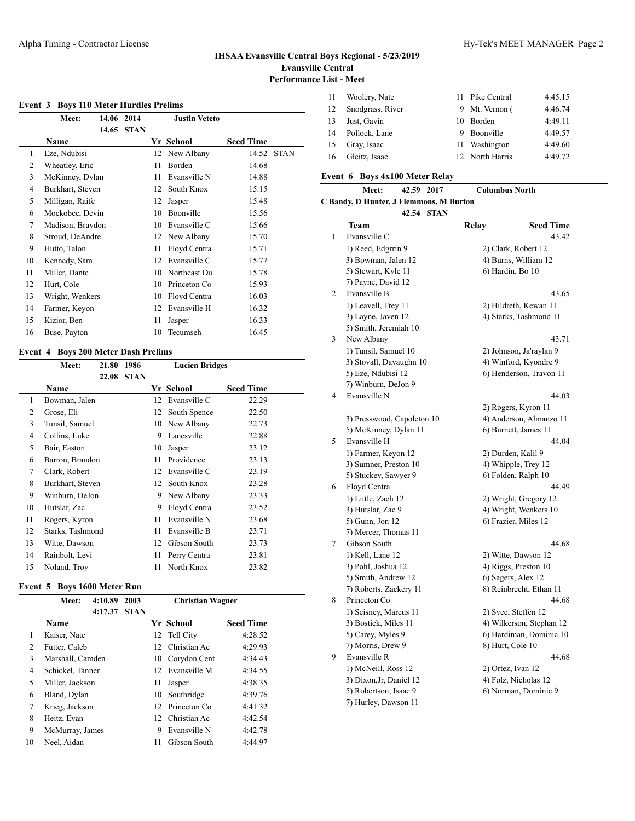$\overline{\phantom{0}}$ 

### **Event 3 Boys 110 Meter Hurdles Prelims**

|    | Meet:            | 14.06 | 2014        |    | <b>Justin Veteto</b> |                  |             |
|----|------------------|-------|-------------|----|----------------------|------------------|-------------|
|    | Name             | 14.65 | <b>STAN</b> |    | Yr School            | <b>Seed Time</b> |             |
| 1  | Eze, Ndubisi     |       |             | 12 | New Albany           | 14.52            | <b>STAN</b> |
| 2  | Wheatley, Eric   |       |             | 11 | Borden               | 14.68            |             |
| 3  | McKinney, Dylan  |       |             | 11 | Evansville N         | 14.88            |             |
| 4  | Burkhart, Steven |       |             | 12 | South Knox           | 15.15            |             |
| 5  | Milligan, Raife  |       |             | 12 | Jasper               | 15.48            |             |
| 6  | Mockobee, Devin  |       |             | 10 | Boonville            | 15.56            |             |
| 7  | Madison, Braydon |       |             | 10 | Evansville C         | 15.66            |             |
| 8  | Stroud, DeAndre  |       |             | 12 | New Albany           | 15.70            |             |
| 9  | Hutto, Talon     |       |             | 11 | Floyd Centra         | 15.71            |             |
| 10 | Kennedy, Sam     |       |             | 12 | Evansville C         | 15.77            |             |
| 11 | Miller, Dante    |       |             | 10 | Northeast Du         | 15.78            |             |
| 12 | Hurt, Cole       |       |             | 10 | Princeton Co         | 15.93            |             |
| 13 | Wright, Wenkers  |       |             | 10 | Floyd Centra         | 16.03            |             |
| 14 | Farmer, Keyon    |       |             | 12 | Evansville H         | 16.32            |             |
| 15 | Kizior, Ben      |       |             | 11 | Jasper               | 16.33            |             |
| 16 | Buse, Payton     |       |             | 10 | Tecumseh             | 16.45            |             |

## **Event 4 Boys 200 Meter Dash Prelims**

|    | Meet:            | 21.80 | 1986        |    | <b>Lucien Bridges</b> |                  |  |  |
|----|------------------|-------|-------------|----|-----------------------|------------------|--|--|
|    |                  | 22.08 | <b>STAN</b> |    |                       |                  |  |  |
|    | Name             |       |             |    | Yr School             | <b>Seed Time</b> |  |  |
| 1  | Bowman, Jalen    |       |             | 12 | Evansville C          | 22.29            |  |  |
| 2  | Grose, Eli       |       |             | 12 | South Spence          | 22.50            |  |  |
| 3  | Tunsil, Samuel   |       |             | 10 | New Albany            | 22.73            |  |  |
| 4  | Collins, Luke    |       |             | 9  | Lanesville            | 22.88            |  |  |
| 5  | Bair, Easton     |       |             | 10 | Jasper                | 23.12            |  |  |
| 6  | Barron, Brandon  |       |             | 11 | Providence            | 23.13            |  |  |
| 7  | Clark, Robert    |       |             | 12 | Evansville C          | 23.19            |  |  |
| 8  | Burkhart, Steven |       |             | 12 | South Knox            | 23.28            |  |  |
| 9  | Winburn, DeJon   |       |             | 9  | New Albany            | 23.33            |  |  |
| 10 | Hutslar, Zac     |       |             | 9  | Floyd Centra          | 23.52            |  |  |
| 11 | Rogers, Kyron    |       |             | 11 | Evansville N          | 23.68            |  |  |
| 12 | Starks, Tashmond |       |             | 11 | Evansville B          | 23.71            |  |  |
| 13 | Witte, Dawson    |       |             | 12 | Gibson South          | 23.73            |  |  |
| 14 | Rainbolt, Levi   |       |             | 11 | Perry Centra          | 23.81            |  |  |
| 15 | Noland, Troy     |       |             | 11 | North Knox            | 23.82            |  |  |

## **Event 5 Boys 1600 Meter Run**

|    | Meet:            | 4:10.89 | 2003        |                 | <b>Christian Wagner</b> |                  |  |
|----|------------------|---------|-------------|-----------------|-------------------------|------------------|--|
|    |                  | 4:17.37 | <b>STAN</b> |                 |                         |                  |  |
|    | <b>Name</b>      |         |             |                 | Yr School               | <b>Seed Time</b> |  |
| 1  | Kaiser, Nate     |         |             |                 | 12 Tell City            | 4:28.52          |  |
| 2  | Futter, Caleb    |         |             |                 | 12 Christian Ac         | 4:29.93          |  |
| 3  | Marshall, Camden |         |             | 10              | Corydon Cent            | 4:34.43          |  |
| 4  | Schickel, Tanner |         |             | 12              | Evansville M            | 4:34.55          |  |
| 5  | Miller, Jackson  |         |             | 11              | Jasper                  | 4:38.35          |  |
| 6  | Bland, Dylan     |         |             | 10              | Southridge              | 4:39.76          |  |
| 7  | Krieg, Jackson   |         |             | 12 <sub>1</sub> | Princeton Co.           | 4:41.32          |  |
| 8  | Heitz, Evan      |         |             |                 | 12 Christian Ac         | 4:42.54          |  |
| 9  | McMurray, James  |         |             | 9               | Evansville N            | 4:42.78          |  |
| 10 | Neel, Aidan      |         |             | 11              | Gibson South            | 4:44.97          |  |

| -11 | Woolery, Nate    | 11 Pike Central | 4:45.15 |
|-----|------------------|-----------------|---------|
| 12  | Snodgrass, River | 9 Mt. Vernon (  | 4:46.74 |
| 13  | Just, Gavin      | 10 Borden       | 4:49.11 |
| 14  | Pollock, Lane    | 9 Boonville     | 4:49.57 |
| 15  | Gray, Isaac      | 11 Washington   | 4:49.60 |
| -16 | Gleitz, Isaac    | 12 North Harris | 4:49.72 |

# **Event 6 Boys 4x100 Meter Relay**

|   | 42.59 2017<br><b>Meet:</b>              | <b>Columbus North</b> |                          |  |
|---|-----------------------------------------|-----------------------|--------------------------|--|
|   | C Bandy, D Hunter, J Flemmons, M Burton |                       |                          |  |
|   | 42.54 STAN                              |                       |                          |  |
|   | Team                                    | Relay                 | <b>Seed Time</b>         |  |
| 1 | Evansville C                            |                       | 43.42                    |  |
|   | 1) Reed, Edgrrin 9                      |                       | 2) Clark, Robert 12      |  |
|   | 3) Bowman, Jalen 12                     |                       | 4) Burns, William 12     |  |
|   | 5) Stewart, Kyle 11                     |                       | 6) Hardin, Bo 10         |  |
|   | 7) Payne, David 12                      |                       |                          |  |
| 2 | Evansville B                            |                       | 43.65                    |  |
|   | 1) Leavell, Trey 11                     |                       | 2) Hildreth, Kewan 11    |  |
|   | 3) Layne, Javen 12                      |                       | 4) Starks, Tashmond 11   |  |
|   | 5) Smith, Jeremiah 10                   |                       |                          |  |
| 3 | New Albany                              |                       | 43.71                    |  |
|   | 1) Tunsil, Samuel 10                    |                       | 2) Johnson, Ja'raylan 9  |  |
|   | 3) Stovall, Davaughn 10                 |                       | 4) Winford, Kyondre 9    |  |
|   | 5) Eze, Ndubisi 12                      |                       | 6) Henderson, Travon 11  |  |
|   | 7) Winburn, DeJon 9                     |                       |                          |  |
| 4 | Evansville N                            |                       | 44.03                    |  |
|   |                                         | 2) Rogers, Kyron 11   |                          |  |
|   | 3) Presswood, Capoleton 10              |                       | 4) Anderson, Almanzo 11  |  |
|   | 5) McKinney, Dylan 11                   |                       | 6) Burnett, James 11     |  |
| 5 | Evansville H                            | 44.04                 |                          |  |
|   | 1) Farmer, Keyon 12                     | 2) Durden, Kalil 9    |                          |  |
|   | 3) Sumner, Preston 10                   |                       | 4) Whipple, Trey 12      |  |
|   | 5) Stuckey, Sawyer 9                    |                       | 6) Folden, Ralph 10      |  |
| 6 | Floyd Centra                            | 44.49                 |                          |  |
|   | 1) Little, Zach 12                      |                       | 2) Wright, Gregory 12    |  |
|   | 3) Hutslar, Zac 9                       |                       | 4) Wright, Wenkers 10    |  |
|   | 5) Gunn, Jon 12                         |                       | 6) Frazier, Miles 12     |  |
|   | 7) Mercer, Thomas 11                    |                       |                          |  |
| 7 | Gibson South                            |                       | 44.68                    |  |
|   | 1) Kell, Lane 12                        |                       | 2) Witte, Dawson 12      |  |
|   | 3) Pohl, Joshua 12                      |                       | 4) Riggs, Preston 10     |  |
|   | 5) Smith, Andrew 12                     |                       | 6) Sagers, Alex 12       |  |
|   | 7) Roberts, Zackery 11                  |                       | 8) Reinbrecht, Ethan 11  |  |
| 8 | Princeton Co                            |                       | 44.68                    |  |
|   | 1) Scisney, Marcus 11                   |                       | 2) Svec, Steffen 12      |  |
|   | 3) Bostick, Miles 11                    |                       | 4) Wilkerson, Stephan 12 |  |
|   | 5) Carey, Myles 9                       |                       | 6) Hardiman, Dominic 10  |  |
|   | 7) Morris, Drew 9                       |                       | 8) Hurt, Cole 10         |  |
| 9 | Evansville R                            |                       | 44.68                    |  |
|   | 1) McNeill, Ross 12                     |                       | 2) Ortez, Ivan 12        |  |
|   | 3) Dixon, Jr, Daniel 12                 |                       | 4) Folz, Nicholas 12     |  |
|   | 5) Robertson, Isaac 9                   |                       | 6) Norman, Dominic 9     |  |
|   | 7) Hurley, Dawson 11                    |                       |                          |  |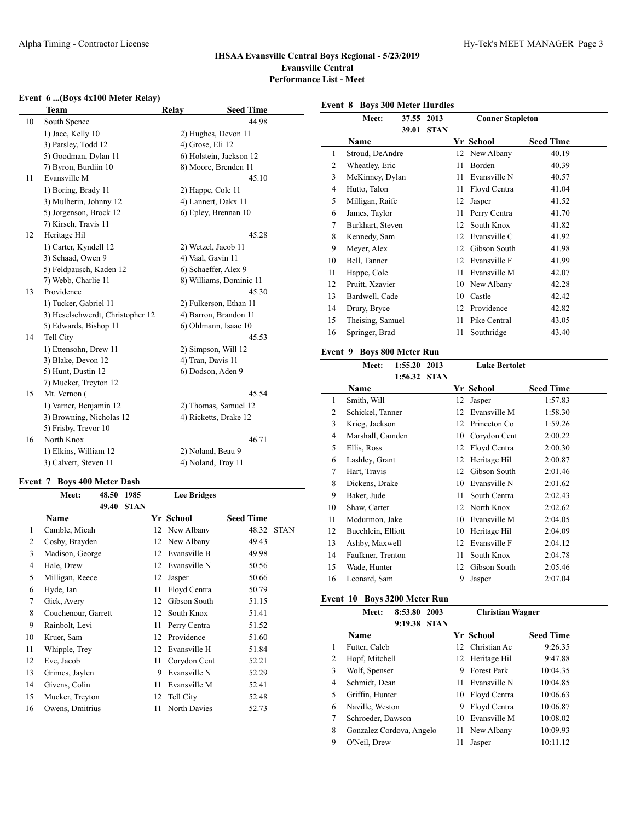### **Event 6 ...(Boys 4x100 Meter Relay)**

|    | Team                             | Relay             | <b>Seed Time</b>        |
|----|----------------------------------|-------------------|-------------------------|
| 10 | South Spence                     |                   | 44.98                   |
|    | 1) Jace, Kelly 10                |                   | 2) Hughes, Devon 11     |
|    | 3) Parsley, Todd 12              | 4) Grose, Eli 12  |                         |
|    | 5) Goodman, Dylan 11             |                   | 6) Holstein, Jackson 12 |
|    | 7) Byron, Burdiin 10             |                   | 8) Moore, Brenden 11    |
| 11 | Evansville M                     |                   | 45.10                   |
|    | 1) Boring, Brady 11              |                   | 2) Happe, Cole 11       |
|    | 3) Mulherin, Johnny 12           |                   | 4) Lannert, Dakx 11     |
|    | 5) Jorgenson, Brock 12           |                   | 6) Epley, Brennan 10    |
|    | 7) Kirsch, Travis 11             |                   |                         |
| 12 | Heritage Hil                     |                   | 45.28                   |
|    | 1) Carter, Kyndell 12            |                   | 2) Wetzel, Jacob 11     |
|    | 3) Schaad, Owen 9                | 4) Vaal, Gavin 11 |                         |
|    | 5) Feldpausch, Kaden 12          |                   | 6) Schaeffer, Alex 9    |
|    | 7) Webb, Charlie 11              |                   | 8) Williams, Dominic 11 |
| 13 | Providence                       |                   | 45.30                   |
|    | 1) Tucker, Gabriel 11            |                   | 2) Fulkerson, Ethan 11  |
|    | 3) Heselschwerdt, Christopher 12 |                   | 4) Barron, Brandon 11   |
|    | 5) Edwards, Bishop 11            |                   | 6) Ohlmann, Isaac 10    |
| 14 | Tell City                        |                   | 45.53                   |
|    | 1) Ettensohn, Drew 11            |                   | 2) Simpson, Will 12     |
|    | 3) Blake, Devon 12               | 4) Tran, Davis 11 |                         |
|    | 5) Hunt, Dustin 12               |                   | 6) Dodson, Aden 9       |
|    | 7) Mucker, Treyton 12            |                   |                         |
| 15 | Mt. Vernon (                     |                   | 45.54                   |
|    | 1) Varner, Benjamin 12           |                   | 2) Thomas, Samuel 12    |
|    | 3) Browning, Nicholas 12         |                   | 4) Ricketts, Drake 12   |
|    | 5) Frisby, Trevor 10             |                   |                         |
| 16 | North Knox                       |                   | 46.71                   |
|    | 1) Elkins, William 12            |                   | 2) Noland, Beau 9       |
|    | 3) Calvert, Steven 11            |                   | 4) Noland, Troy 11      |

#### **Event 7 Boys 400 Meter Dash**

| Meet:          | 48.50 | 1985                                                                                                                               |    | <b>Lee Bridges</b> |                  |             |
|----------------|-------|------------------------------------------------------------------------------------------------------------------------------------|----|--------------------|------------------|-------------|
|                | 49.40 | <b>STAN</b>                                                                                                                        |    |                    |                  |             |
| <b>Name</b>    |       |                                                                                                                                    |    |                    | <b>Seed Time</b> |             |
|                |       |                                                                                                                                    | 12 | New Albany         | 48.32            | <b>STAN</b> |
|                |       |                                                                                                                                    | 12 | New Albany         | 49.43            |             |
|                |       |                                                                                                                                    | 12 | Evansville B       | 49.98            |             |
| Hale, Drew     |       |                                                                                                                                    | 12 | Evansville N       | 50.56            |             |
|                |       |                                                                                                                                    | 12 | Jasper             | 50.66            |             |
| Hyde, Ian      |       |                                                                                                                                    | 11 | Floyd Centra       | 50.79            |             |
| Gick, Avery    |       |                                                                                                                                    | 12 | Gibson South       | 51.15            |             |
|                |       |                                                                                                                                    | 12 | South Knox         | 51.41            |             |
| Rainbolt, Levi |       |                                                                                                                                    | 11 | Perry Centra       | 51.52            |             |
| Kruer, Sam     |       |                                                                                                                                    | 12 | Providence         | 51.60            |             |
| Whipple, Trey  |       |                                                                                                                                    | 12 | Evansville H       | 51.84            |             |
| Eve, Jacob     |       |                                                                                                                                    | 11 | Corydon Cent       | 52.21            |             |
| Grimes, Jaylen |       |                                                                                                                                    | 9  | Evansville N       | 52.29            |             |
| Givens, Colin  |       |                                                                                                                                    | 11 | Evansville M       | 52.41            |             |
|                |       |                                                                                                                                    | 12 | Tell City          | 52.48            |             |
|                |       |                                                                                                                                    | 11 | North Davies       | 52.73            |             |
|                |       | Camble, Micah<br>Cosby, Brayden<br>Madison, George<br>Milligan, Reece<br>Couchenour, Garrett<br>Mucker, Treyton<br>Owens, Dmitrius |    |                    | Yr School        |             |

### **Event 8 Boys 300 Meter Hurdles**

|    | Meet:            | 37.55 | 2013        |    | <b>Conner Stapleton</b> |                  |  |  |
|----|------------------|-------|-------------|----|-------------------------|------------------|--|--|
|    |                  | 39.01 | <b>STAN</b> |    |                         |                  |  |  |
|    | Name             |       |             |    | Yr School               | <b>Seed Time</b> |  |  |
| 1  | Stroud, DeAndre  |       |             | 12 | New Albany              | 40.19            |  |  |
| 2  | Wheatley, Eric   |       |             | 11 | Borden                  | 40.39            |  |  |
| 3  | McKinney, Dylan  |       |             | 11 | Evansville N            | 40.57            |  |  |
| 4  | Hutto, Talon     |       |             | 11 | Floyd Centra            | 41.04            |  |  |
| 5  | Milligan, Raife  |       |             | 12 | Jasper                  | 41.52            |  |  |
| 6  | James, Taylor    |       |             | 11 | Perry Centra            | 41.70            |  |  |
| 7  | Burkhart, Steven |       |             | 12 | South Knox              | 41.82            |  |  |
| 8  | Kennedy, Sam     |       |             | 12 | Evansville C            | 41.92            |  |  |
| 9  | Meyer, Alex      |       |             | 12 | Gibson South            | 41.98            |  |  |
| 10 | Bell, Tanner     |       |             | 12 | Evansville F            | 41.99            |  |  |
| 11 | Happe, Cole      |       |             | 11 | Evansville M            | 42.07            |  |  |
| 12 | Pruitt, Xzavier  |       |             | 10 | New Albany              | 42.28            |  |  |
| 13 | Bardwell, Cade   |       |             | 10 | Castle                  | 42.42            |  |  |
| 14 | Drury, Bryce     |       |             | 12 | Providence              | 42.82            |  |  |
| 15 | Theising, Samuel |       |             | 11 | Pike Central            | 43.05            |  |  |
| 16 | Springer, Brad   |       |             | 11 | Southridge              | 43.40            |  |  |
|    |                  |       |             |    |                         |                  |  |  |

### **Event 9 Boys 800 Meter Run**

 $\overline{a}$ 

|    | Meet:              | 1:55.20 | 2013        |    | <b>Luke Bertolet</b> |                  |  |  |
|----|--------------------|---------|-------------|----|----------------------|------------------|--|--|
|    |                    | 1:56.32 | <b>STAN</b> |    |                      |                  |  |  |
|    | Name               |         |             |    | Yr School            | <b>Seed Time</b> |  |  |
| 1  | Smith, Will        |         |             | 12 | Jasper               | 1:57.83          |  |  |
| 2  | Schickel, Tanner   |         |             | 12 | Evansville M         | 1:58.30          |  |  |
| 3  | Krieg, Jackson     |         |             | 12 | Princeton Co         | 1:59.26          |  |  |
| 4  | Marshall, Camden   |         |             | 10 | Corydon Cent         | 2:00.22          |  |  |
| 5  | Ellis, Ross        |         |             | 12 | Floyd Centra         | 2:00.30          |  |  |
| 6  | Lashley, Grant     |         |             | 12 | Heritage Hil         | 2:00.87          |  |  |
| 7  | Hart, Travis       |         |             | 12 | Gibson South         | 2:01.46          |  |  |
| 8  | Dickens, Drake     |         |             | 10 | Evansville N         | 2:01.62          |  |  |
| 9  | Baker, Jude        |         |             | 11 | South Centra         | 2:02.43          |  |  |
| 10 | Shaw, Carter       |         |             | 12 | North Knox           | 2:02.62          |  |  |
| 11 | Mcdurmon, Jake     |         |             | 10 | Evansville M         | 2:04.05          |  |  |
| 12 | Buechlein, Elliott |         |             | 10 | Heritage Hil         | 2:04.09          |  |  |
| 13 | Ashby, Maxwell     |         |             | 12 | Evansville F         | 2:04.12          |  |  |
| 14 | Faulkner, Trenton  |         |             | 11 | South Knox           | 2:04.78          |  |  |
| 15 | Wade, Hunter       |         |             | 12 | Gibson South         | 2:05.46          |  |  |
| 16 | Leonard, Sam       |         |             | 9  | Jasper               | 2:07.04          |  |  |

#### **Event 10 Boys 3200 Meter Run**

**Meet: 8:53.80 2003 Christian Wagner 9:19.38 STAN Name Yr School Seed Time** 1 Futter, Caleb 12 Christian Ac 9:26.35 2 Hopf, Mitchell 12 Heritage Hil 9:47.88 3 Wolf, Spenser 9 Forest Park 10:04.35 4 Schmidt, Dean 11 Evansville N 10:04.85 5 Griffin, Hunter 10 Floyd Centra 10:06.63 6 Naville, Weston 9 Floyd Centra 10:06.87 7 Schroeder, Dawson 10 Evansville M 10:08.02 8 Gonzalez Cordova, Angelo 11 New Albany 10:09.93 9 O'Neil, Drew 11 Jasper 10:11.12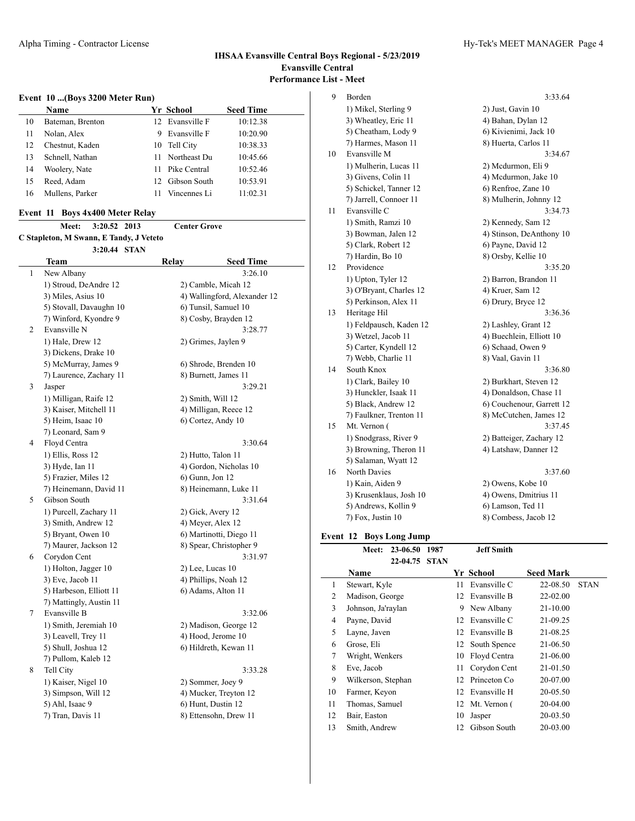### **Event 10 ...(Boys 3200 Meter Run)**

|    | Name             |     | Yr School       | <b>Seed Time</b> |
|----|------------------|-----|-----------------|------------------|
| 10 | Bateman, Brenton |     | 12 Evansville F | 10:12.38         |
| 11 | Nolan, Alex      | 9   | Evansville F    | 10:20.90         |
| 12 | Chestnut, Kaden  |     | 10 Tell City    | 10:38.33         |
| 13 | Schnell, Nathan  | 11  | Northeast Du    | 10:45.66         |
| 14 | Woolery, Nate    | 11  | Pike Central    | 10:52.46         |
| 15 | Reed, Adam       | 12. | Gibson South    | 10:53.91         |
| 16 | Mullens, Parker  | 11  | Vincennes Li    | 11:02.31         |

#### **Event 11 Boys 4x400 Meter Relay**

|                | 3:20.52 2013<br><b>Meet:</b>            | <b>Center Grove</b> |                              |
|----------------|-----------------------------------------|---------------------|------------------------------|
|                | C Stapleton, M Swann, E Tandy, J Veteto |                     |                              |
|                | 3:20.44 STAN                            |                     |                              |
|                | Team                                    | Relay               | <b>Seed Time</b>             |
| 1              | New Albany                              |                     | 3:26.10                      |
|                | 1) Stroud, DeAndre 12                   |                     | 2) Camble, Micah 12          |
|                | 3) Miles, Asius 10                      |                     | 4) Wallingford, Alexander 12 |
|                | 5) Stovall, Davaughn 10                 |                     | 6) Tunsil, Samuel 10         |
|                | 7) Winford, Kyondre 9                   |                     | 8) Cosby, Brayden 12         |
| $\overline{c}$ | Evansville N                            |                     | 3:28.77                      |
|                | 1) Hale, Drew 12                        |                     | 2) Grimes, Jaylen 9          |
|                | 3) Dickens, Drake 10                    |                     |                              |
|                | 5) McMurray, James 9                    |                     | 6) Shrode, Brenden 10        |
|                | 7) Laurence, Zachary 11                 |                     | 8) Burnett, James 11         |
| 3              | Jasper                                  |                     | 3:29.21                      |
|                | 1) Milligan, Raife 12                   |                     | 2) Smith, Will 12            |
|                | 3) Kaiser, Mitchell 11                  |                     | 4) Milligan, Reece 12        |
|                | 5) Heim, Isaac 10                       |                     | 6) Cortez, Andy 10           |
|                | 7) Leonard, Sam 9                       |                     |                              |
| $\overline{4}$ | Floyd Centra                            |                     | 3:30.64                      |
|                | 1) Ellis, Ross 12                       |                     | 2) Hutto, Talon 11           |
|                | 3) Hyde, Ian 11                         |                     | 4) Gordon, Nicholas 10       |
|                | 5) Frazier, Miles 12                    |                     | 6) Gunn, Jon 12              |
|                | 7) Heinemann, David 11                  |                     | 8) Heinemann, Luke 11        |
| 5              | Gibson South                            |                     | 3:31.64                      |
|                | 1) Purcell, Zachary 11                  |                     | 2) Gick, Avery 12            |
|                | 3) Smith, Andrew 12                     |                     | 4) Meyer, Alex 12            |
|                | 5) Bryant, Owen 10                      |                     | 6) Martinotti, Diego 11      |
|                | 7) Maurer, Jackson 12                   |                     | 8) Spear, Christopher 9      |
| 6              | Corydon Cent                            |                     | 3:31.97                      |
|                | 1) Holton, Jagger 10                    |                     | 2) Lee, Lucas 10             |
|                | 3) Eve, Jacob 11                        |                     | 4) Phillips, Noah 12         |
|                | 5) Harbeson, Elliott 11                 |                     | 6) Adams, Alton 11           |
|                | 7) Mattingly, Austin 11                 |                     |                              |
| 7              | Evansville B                            |                     | 3:32.06                      |
|                | 1) Smith, Jeremiah 10                   |                     | 2) Madison, George 12        |
|                | 3) Leavell, Trey 11                     |                     | 4) Hood, Jerome 10           |
|                | 5) Shull, Joshua 12                     |                     | 6) Hildreth, Kewan 11        |
|                | 7) Pullom, Kaleb 12                     |                     |                              |
| 8              | Tell City                               |                     | 3:33.28                      |
|                | 1) Kaiser, Nigel 10                     |                     | 2) Sommer, Joey 9            |
|                | 3) Simpson, Will 12                     |                     | 4) Mucker, Treyton 12        |
|                | 5) Ahl, Isaac 9                         |                     | 6) Hunt, Dustin 12           |
|                | 7) Tran, Davis 11                       |                     | 8) Ettensohn, Drew 11        |
|                |                                         |                     |                              |
|                |                                         |                     |                              |

| 9  | Borden                  | 3:33.64                   |
|----|-------------------------|---------------------------|
|    | 1) Mikel, Sterling 9    | 2) Just, Gavin 10         |
|    | 3) Wheatley, Eric 11    | 4) Bahan, Dylan 12        |
|    | 5) Cheatham, Lody 9     | 6) Kivienimi, Jack 10     |
|    | 7) Harmes, Mason 11     | 8) Huerta, Carlos 11      |
| 10 | Evansville M            | 3:34.67                   |
|    | 1) Mulherin, Lucas 11   | 2) Mcdurmon, Eli 9        |
|    | 3) Givens, Colin 11     | 4) Mcdurmon, Jake 10      |
|    | 5) Schickel, Tanner 12  | 6) Renfroe, Zane 10       |
|    | 7) Jarrell, Connoer 11  | 8) Mulherin, Johnny 12    |
| 11 | Evansville C            | 3:34.73                   |
|    | 1) Smith, Ramzi 10      | 2) Kennedy, Sam 12        |
|    | 3) Bowman, Jalen 12     | 4) Stinson, DeAnthony 10  |
|    | 5) Clark, Robert 12     | 6) Payne, David 12        |
|    | 7) Hardin, Bo 10        | 8) Orsby, Kellie 10       |
| 12 | Providence              | 3:35.20                   |
|    | 1) Upton, Tyler 12      | 2) Barron, Brandon 11     |
|    | 3) O'Bryant, Charles 12 | 4) Kruer, Sam 12          |
|    | 5) Perkinson, Alex 11   | 6) Drury, Bryce 12        |
| 13 | Heritage Hil            | 3:36.36                   |
|    | 1) Feldpausch, Kaden 12 | 2) Lashley, Grant 12      |
|    | 3) Wetzel, Jacob 11     | 4) Buechlein, Elliott 10  |
|    | 5) Carter, Kyndell 12   | 6) Schaad, Owen 9         |
|    | 7) Webb, Charlie 11     | 8) Vaal, Gavin 11         |
| 14 | South Knox              | 3:36.80                   |
|    | 1) Clark, Bailey 10     | 2) Burkhart, Steven 12    |
|    | 3) Hunckler, Isaak 11   | 4) Donaldson, Chase 11    |
|    | 5) Black, Andrew 12     | 6) Couchenour, Garrett 12 |
|    | 7) Faulkner, Trenton 11 | 8) McCutchen, James 12    |
| 15 | Mt. Vernon (            | 3:37.45                   |
|    | 1) Snodgrass, River 9   | 2) Batteiger, Zachary 12  |
|    | 3) Browning, Theron 11  | 4) Latshaw, Danner 12     |
|    | 5) Salaman, Wyatt 12    |                           |
| 16 | North Davies            | 3:37.60                   |
|    | 1) Kain, Aiden 9        | 2) Owens, Kobe 10         |
|    | 3) Krusenklaus, Josh 10 | 4) Owens, Dmitrius 11     |
|    | 5) Andrews, Kollin 9    | 6) Lamson, Ted 11         |
|    | 7) Fox, Justin 10       | 8) Combess, Jacob 12      |

## **Event 12 Boys Long Jump**

|                | Meet:              | 23-06.50      | 1987 |    | Jeff Smith      |                  |             |
|----------------|--------------------|---------------|------|----|-----------------|------------------|-------------|
|                |                    | 22-04.75 STAN |      |    |                 |                  |             |
|                | Name               |               |      |    | Yr School       | <b>Seed Mark</b> |             |
| 1              | Stewart, Kyle      |               |      | 11 | Evansville C    | 22-08.50         | <b>STAN</b> |
| 2              | Madison, George    |               |      | 12 | Evansville B    | 22-02.00         |             |
| 3              | Johnson, Ja'raylan |               |      | 9  | New Albany      | 21-10.00         |             |
| $\overline{4}$ | Payne, David       |               |      |    | 12 Evansville C | 21-09.25         |             |
| 5              | Layne, Javen       |               |      | 12 | Evansville B    | 21-08.25         |             |
| 6              | Grose, Eli         |               |      |    | 12 South Spence | 21-06.50         |             |
| 7              | Wright, Wenkers    |               |      | 10 | Floyd Centra    | 21-06.00         |             |
| 8              | Eve, Jacob         |               |      | 11 | Corydon Cent    | 21-01.50         |             |
| 9              | Wilkerson, Stephan |               |      | 12 | Princeton Co    | 20-07.00         |             |
| 10             | Farmer, Keyon      |               |      | 12 | Evansville H    | 20-05.50         |             |
| 11             | Thomas, Samuel     |               |      |    | 12 Mt. Vernon ( | 20-04.00         |             |
| 12             | Bair, Easton       |               |      | 10 | Jasper          | 20-03.50         |             |
| 13             | Smith, Andrew      |               |      | 12 | Gibson South    | 20-03.00         |             |